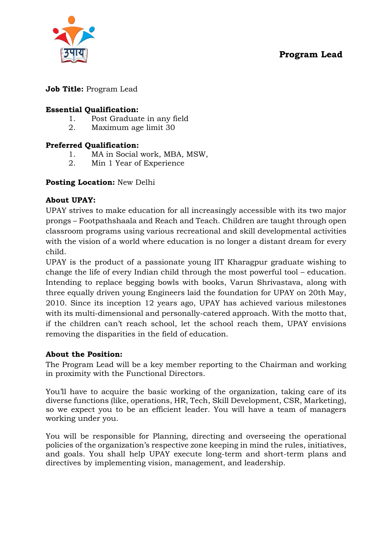# **Program Lead**



### **Job Title:** Program Lead

#### **Essential Qualification:**

- 1. Post Graduate in any field
- 2. Maximum age limit 30

#### **Preferred Qualification:**

- 1. MA in Social work, MBA, MSW,
- 2. Min 1 Year of Experience

#### **Posting Location:** New Delhi

#### **About UPAY:**

UPAY strives to make education for all increasingly accessible with its two major prongs – Footpathshaala and Reach and Teach. Children are taught through open classroom programs using various recreational and skill developmental activities with the vision of a world where education is no longer a distant dream for every child.

UPAY is the product of a passionate young IIT Kharagpur graduate wishing to change the life of every Indian child through the most powerful tool – education. Intending to replace begging bowls with books, Varun Shrivastava, along with three equally driven young Engineers laid the foundation for UPAY on 20th May, 2010. Since its inception 12 years ago, UPAY has achieved various milestones with its multi-dimensional and personally-catered approach. With the motto that, if the children can't reach school, let the school reach them, UPAY envisions removing the disparities in the field of education.

#### **About the Position:**

The Program Lead will be a key member reporting to the Chairman and working in proximity with the Functional Directors.

You'll have to acquire the basic working of the organization, taking care of its diverse functions (like, operations, HR, Tech, Skill Development, CSR, Marketing), so we expect you to be an efficient leader. You will have a team of managers working under you.

You will be responsible for Planning, directing and overseeing the operational policies of the organization's respective zone keeping in mind the rules, initiatives, and goals. You shall help UPAY execute long-term and short-term plans and directives by implementing vision, management, and leadership.